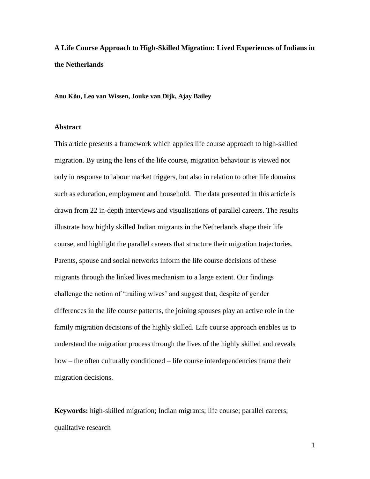**A Life Course Approach to High-Skilled Migration: Lived Experiences of Indians in the Netherlands**

**Anu Kõu, Leo van Wissen, Jouke van Dijk, Ajay Bailey**

### **Abstract**

This article presents a framework which applies life course approach to high-skilled migration. By using the lens of the life course, migration behaviour is viewed not only in response to labour market triggers, but also in relation to other life domains such as education, employment and household. The data presented in this article is drawn from 22 in-depth interviews and visualisations of parallel careers. The results illustrate how highly skilled Indian migrants in the Netherlands shape their life course, and highlight the parallel careers that structure their migration trajectories. Parents, spouse and social networks inform the life course decisions of these migrants through the linked lives mechanism to a large extent. Our findings challenge the notion of 'trailing wives' and suggest that, despite of gender differences in the life course patterns, the joining spouses play an active role in the family migration decisions of the highly skilled. Life course approach enables us to understand the migration process through the lives of the highly skilled and reveals how – the often culturally conditioned – life course interdependencies frame their migration decisions.

**Keywords:** high-skilled migration; Indian migrants; life course; parallel careers; qualitative research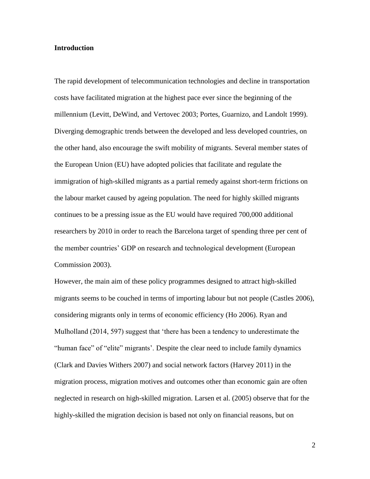### **Introduction**

The rapid development of telecommunication technologies and decline in transportation costs have facilitated migration at the highest pace ever since the beginning of the millennium (Levitt, DeWind, and Vertovec 2003; Portes, Guarnizo, and Landolt 1999). Diverging demographic trends between the developed and less developed countries, on the other hand, also encourage the swift mobility of migrants. Several member states of the European Union (EU) have adopted policies that facilitate and regulate the immigration of high-skilled migrants as a partial remedy against short-term frictions on the labour market caused by ageing population. The need for highly skilled migrants continues to be a pressing issue as the EU would have required 700,000 additional researchers by 2010 in order to reach the Barcelona target of spending three per cent of the member countries' GDP on research and technological development (European Commission 2003).

However, the main aim of these policy programmes designed to attract high-skilled migrants seems to be couched in terms of importing labour but not people (Castles 2006), considering migrants only in terms of economic efficiency (Ho 2006). Ryan and Mulholland (2014, 597) suggest that 'there has been a tendency to underestimate the "human face" of "elite" migrants'. Despite the clear need to include family dynamics (Clark and Davies Withers 2007) and social network factors (Harvey 2011) in the migration process, migration motives and outcomes other than economic gain are often neglected in research on high-skilled migration. Larsen et al. (2005) observe that for the highly-skilled the migration decision is based not only on financial reasons, but on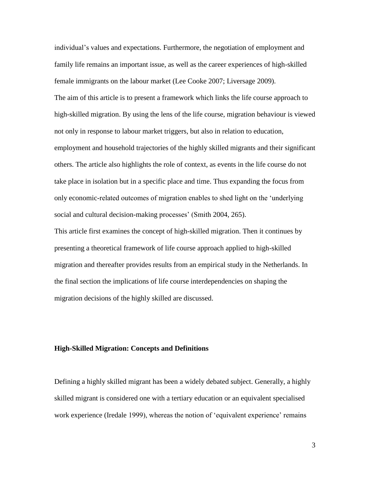individual's values and expectations. Furthermore, the negotiation of employment and family life remains an important issue, as well as the career experiences of high-skilled female immigrants on the labour market (Lee Cooke 2007; Liversage 2009). The aim of this article is to present a framework which links the life course approach to high-skilled migration. By using the lens of the life course, migration behaviour is viewed not only in response to labour market triggers, but also in relation to education, employment and household trajectories of the highly skilled migrants and their significant others. The article also highlights the role of context, as events in the life course do not take place in isolation but in a specific place and time. Thus expanding the focus from only economic-related outcomes of migration enables to shed light on the 'underlying social and cultural decision-making processes' (Smith 2004, 265).

This article first examines the concept of high-skilled migration. Then it continues by presenting a theoretical framework of life course approach applied to high-skilled migration and thereafter provides results from an empirical study in the Netherlands. In the final section the implications of life course interdependencies on shaping the migration decisions of the highly skilled are discussed.

### **High-Skilled Migration: Concepts and Definitions**

Defining a highly skilled migrant has been a widely debated subject. Generally, a highly skilled migrant is considered one with a tertiary education or an equivalent specialised work experience (Iredale 1999), whereas the notion of 'equivalent experience' remains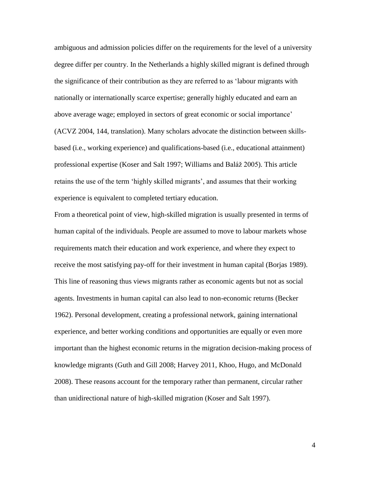ambiguous and admission policies differ on the requirements for the level of a university degree differ per country. In the Netherlands a highly skilled migrant is defined through the significance of their contribution as they are referred to as 'labour migrants with nationally or internationally scarce expertise; generally highly educated and earn an above average wage; employed in sectors of great economic or social importance' (ACVZ 2004, 144, translation). Many scholars advocate the distinction between skillsbased (i.e., working experience) and qualifications-based (i.e., educational attainment) professional expertise (Koser and Salt 1997; Williams and Baláž 2005). This article retains the use of the term 'highly skilled migrants', and assumes that their working experience is equivalent to completed tertiary education.

From a theoretical point of view, high-skilled migration is usually presented in terms of human capital of the individuals. People are assumed to move to labour markets whose requirements match their education and work experience, and where they expect to receive the most satisfying pay-off for their investment in human capital (Borjas 1989). This line of reasoning thus views migrants rather as economic agents but not as social agents. Investments in human capital can also lead to non-economic returns (Becker 1962). Personal development, creating a professional network, gaining international experience, and better working conditions and opportunities are equally or even more important than the highest economic returns in the migration decision-making process of knowledge migrants (Guth and Gill 2008; Harvey 2011, Khoo, Hugo, and McDonald 2008). These reasons account for the temporary rather than permanent, circular rather than unidirectional nature of high-skilled migration (Koser and Salt 1997).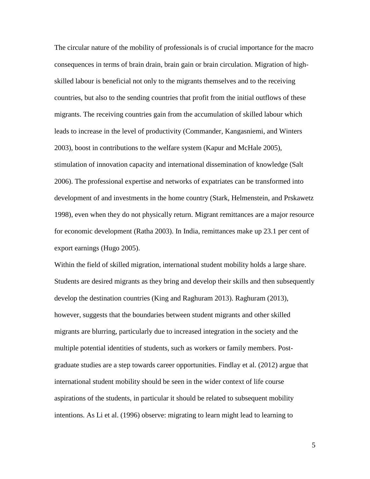The circular nature of the mobility of professionals is of crucial importance for the macro consequences in terms of brain drain, brain gain or brain circulation. Migration of highskilled labour is beneficial not only to the migrants themselves and to the receiving countries, but also to the sending countries that profit from the initial outflows of these migrants. The receiving countries gain from the accumulation of skilled labour which leads to increase in the level of productivity (Commander, Kangasniemi, and Winters 2003), boost in contributions to the welfare system (Kapur and McHale 2005), stimulation of innovation capacity and international dissemination of knowledge (Salt 2006). The professional expertise and networks of expatriates can be transformed into development of and investments in the home country (Stark, Helmenstein, and Prskawetz 1998), even when they do not physically return. Migrant remittances are a major resource for economic development (Ratha 2003). In India, remittances make up 23.1 per cent of export earnings (Hugo 2005).

Within the field of skilled migration, international student mobility holds a large share. Students are desired migrants as they bring and develop their skills and then subsequently develop the destination countries (King and Raghuram 2013). Raghuram (2013), however, suggests that the boundaries between student migrants and other skilled migrants are blurring, particularly due to increased integration in the society and the multiple potential identities of students, such as workers or family members. Postgraduate studies are a step towards career opportunities. Findlay et al. (2012) argue that international student mobility should be seen in the wider context of life course aspirations of the students, in particular it should be related to subsequent mobility intentions. As Li et al. (1996) observe: migrating to learn might lead to learning to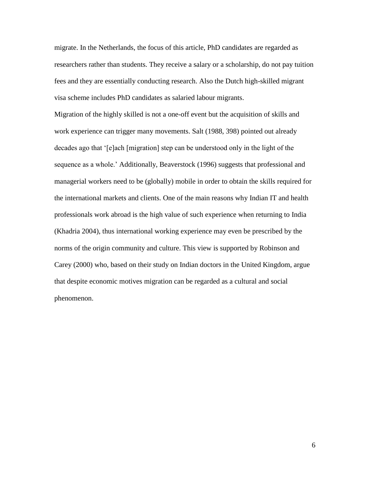migrate. In the Netherlands, the focus of this article, PhD candidates are regarded as researchers rather than students. They receive a salary or a scholarship, do not pay tuition fees and they are essentially conducting research. Also the Dutch high-skilled migrant visa scheme includes PhD candidates as salaried labour migrants.

Migration of the highly skilled is not a one-off event but the acquisition of skills and work experience can trigger many movements. Salt (1988, 398) pointed out already decades ago that '[e]ach [migration] step can be understood only in the light of the sequence as a whole.' Additionally, Beaverstock (1996) suggests that professional and managerial workers need to be (globally) mobile in order to obtain the skills required for the international markets and clients. One of the main reasons why Indian IT and health professionals work abroad is the high value of such experience when returning to India (Khadria 2004), thus international working experience may even be prescribed by the norms of the origin community and culture. This view is supported by Robinson and Carey (2000) who, based on their study on Indian doctors in the United Kingdom, argue that despite economic motives migration can be regarded as a cultural and social phenomenon.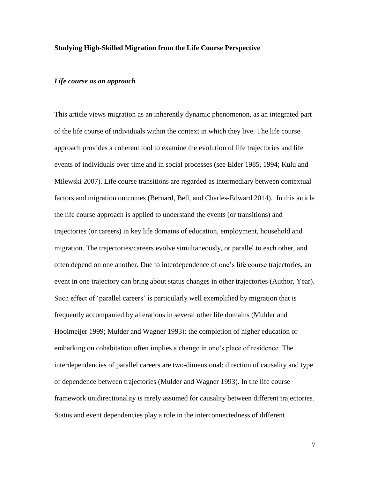### **Studying High-Skilled Migration from the Life Course Perspective**

### *Life course as an approach*

This article views migration as an inherently dynamic phenomenon, as an integrated part of the life course of individuals within the context in which they live. The life course approach provides a coherent tool to examine the evolution of life trajectories and life events of individuals over time and in social processes (see Elder 1985, 1994; Kulu and Milewski 2007). Life course transitions are regarded as intermediary between contextual factors and migration outcomes (Bernard, Bell, and Charles-Edward 2014). In this article the life course approach is applied to understand the events (or transitions) and trajectories (or careers) in key life domains of education, employment, household and migration. The trajectories/careers evolve simultaneously, or parallel to each other, and often depend on one another. Due to interdependence of one's life course trajectories, an event in one trajectory can bring about status changes in other trajectories (Author, Year). Such effect of 'parallel careers' is particularly well exemplified by migration that is frequently accompanied by alterations in several other life domains (Mulder and Hooimeijer 1999; Mulder and Wagner 1993): the completion of higher education or embarking on cohabitation often implies a change in one's place of residence. The interdependencies of parallel careers are two-dimensional: direction of causality and type of dependence between trajectories (Mulder and Wagner 1993). In the life course framework unidirectionality is rarely assumed for causality between different trajectories. Status and event dependencies play a role in the interconnectedness of different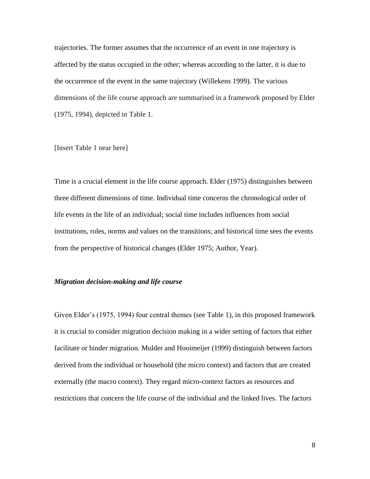trajectories. The former assumes that the occurrence of an event in one trajectory is affected by the status occupied in the other; whereas according to the latter, it is due to the occurrence of the event in the same trajectory (Willekens 1999). The various dimensions of the life course approach are summarised in a framework proposed by Elder (1975, 1994), depicted in Table 1.

### [Insert Table 1 near here]

Time is a crucial element in the life course approach. Elder (1975) distinguishes between three different dimensions of time. Individual time concerns the chronological order of life events in the life of an individual; social time includes influences from social institutions, roles, norms and values on the transitions; and historical time sees the events from the perspective of historical changes (Elder 1975; Author, Year).

### *Migration decision-making and life course*

Given Elder's (1975, 1994) four central themes (see Table 1), in this proposed framework it is crucial to consider migration decision making in a wider setting of factors that either facilitate or hinder migration. Mulder and Hooimeijer (1999) distinguish between factors derived from the individual or household (the micro context) and factors that are created externally (the macro context). They regard micro-context factors as resources and restrictions that concern the life course of the individual and the linked lives. The factors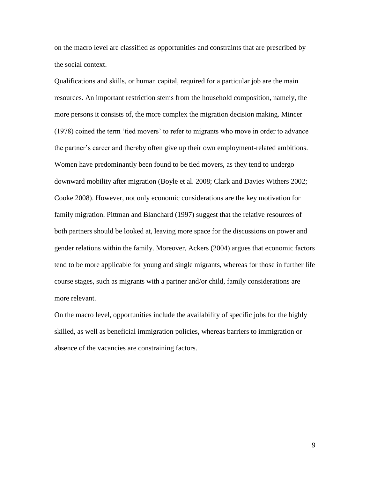on the macro level are classified as opportunities and constraints that are prescribed by the social context.

Qualifications and skills, or human capital, required for a particular job are the main resources. An important restriction stems from the household composition, namely, the more persons it consists of, the more complex the migration decision making. Mincer (1978) coined the term 'tied movers' to refer to migrants who move in order to advance the partner's career and thereby often give up their own employment-related ambitions. Women have predominantly been found to be tied movers, as they tend to undergo downward mobility after migration (Boyle et al. 2008; Clark and Davies Withers 2002; Cooke 2008). However, not only economic considerations are the key motivation for family migration. Pittman and Blanchard (1997) suggest that the relative resources of both partners should be looked at, leaving more space for the discussions on power and gender relations within the family. Moreover, Ackers (2004) argues that economic factors tend to be more applicable for young and single migrants, whereas for those in further life course stages, such as migrants with a partner and/or child, family considerations are more relevant.

On the macro level, opportunities include the availability of specific jobs for the highly skilled, as well as beneficial immigration policies, whereas barriers to immigration or absence of the vacancies are constraining factors.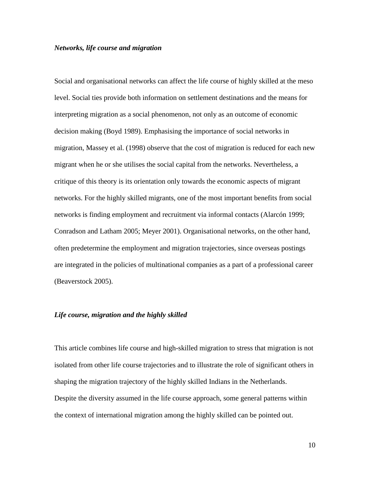### *Networks, life course and migration*

Social and organisational networks can affect the life course of highly skilled at the meso level. Social ties provide both information on settlement destinations and the means for interpreting migration as a social phenomenon, not only as an outcome of economic decision making (Boyd 1989). Emphasising the importance of social networks in migration, Massey et al. (1998) observe that the cost of migration is reduced for each new migrant when he or she utilises the social capital from the networks. Nevertheless, a critique of this theory is its orientation only towards the economic aspects of migrant networks. For the highly skilled migrants, one of the most important benefits from social networks is finding employment and recruitment via informal contacts (Alarcón 1999; Conradson and Latham 2005; Meyer 2001). Organisational networks, on the other hand, often predetermine the employment and migration trajectories, since overseas postings are integrated in the policies of multinational companies as a part of a professional career (Beaverstock 2005).

### *Life course, migration and the highly skilled*

This article combines life course and high-skilled migration to stress that migration is not isolated from other life course trajectories and to illustrate the role of significant others in shaping the migration trajectory of the highly skilled Indians in the Netherlands. Despite the diversity assumed in the life course approach, some general patterns within the context of international migration among the highly skilled can be pointed out.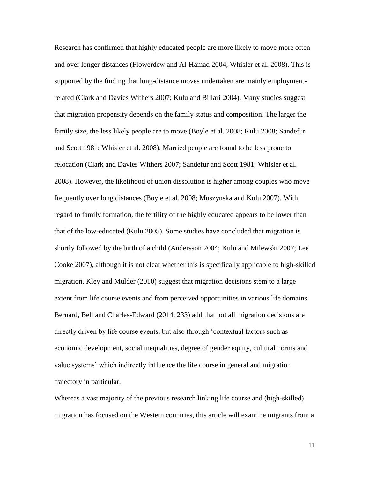Research has confirmed that highly educated people are more likely to move more often and over longer distances (Flowerdew and Al-Hamad 2004; Whisler et al. 2008). This is supported by the finding that long-distance moves undertaken are mainly employmentrelated (Clark and Davies Withers 2007; Kulu and Billari 2004). Many studies suggest that migration propensity depends on the family status and composition. The larger the family size, the less likely people are to move (Boyle et al. 2008; Kulu 2008; Sandefur and Scott 1981; Whisler et al. 2008). Married people are found to be less prone to relocation (Clark and Davies Withers 2007; Sandefur and Scott 1981; Whisler et al. 2008). However, the likelihood of union dissolution is higher among couples who move frequently over long distances (Boyle et al. 2008; Muszynska and Kulu 2007). With regard to family formation, the fertility of the highly educated appears to be lower than that of the low-educated (Kulu 2005). Some studies have concluded that migration is shortly followed by the birth of a child (Andersson 2004; Kulu and Milewski 2007; Lee Cooke 2007), although it is not clear whether this is specifically applicable to high-skilled migration. Kley and Mulder (2010) suggest that migration decisions stem to a large extent from life course events and from perceived opportunities in various life domains. Bernard, Bell and Charles-Edward (2014, 233) add that not all migration decisions are directly driven by life course events, but also through 'contextual factors such as economic development, social inequalities, degree of gender equity, cultural norms and value systems' which indirectly influence the life course in general and migration trajectory in particular.

Whereas a vast majority of the previous research linking life course and (high-skilled) migration has focused on the Western countries, this article will examine migrants from a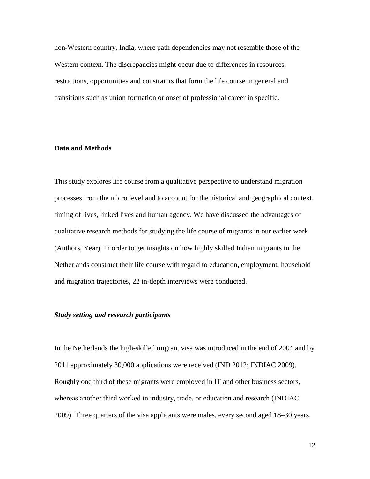non-Western country, India, where path dependencies may not resemble those of the Western context. The discrepancies might occur due to differences in resources, restrictions, opportunities and constraints that form the life course in general and transitions such as union formation or onset of professional career in specific.

### **Data and Methods**

This study explores life course from a qualitative perspective to understand migration processes from the micro level and to account for the historical and geographical context, timing of lives, linked lives and human agency. We have discussed the advantages of qualitative research methods for studying the life course of migrants in our earlier work (Authors, Year). In order to get insights on how highly skilled Indian migrants in the Netherlands construct their life course with regard to education, employment, household and migration trajectories, 22 in-depth interviews were conducted.

## *Study setting and research participants*

In the Netherlands the high-skilled migrant visa was introduced in the end of 2004 and by 2011 approximately 30,000 applications were received (IND 2012; INDIAC 2009). Roughly one third of these migrants were employed in IT and other business sectors, whereas another third worked in industry, trade, or education and research (INDIAC 2009). Three quarters of the visa applicants were males, every second aged 18–30 years,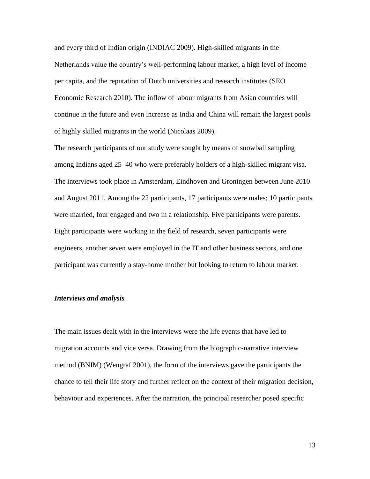and every third of Indian origin (INDIAC 2009). High-skilled migrants in the Netherlands value the country's well-performing labour market, a high level of income per capita, and the reputation of Dutch universities and research institutes (SEO Economic Research 2010). The inflow of labour migrants from Asian countries will continue in the future and even increase as India and China will remain the largest pools of highly skilled migrants in the world (Nicolaas 2009).

The research participants of our study were sought by means of snowball sampling among Indians aged 25–40 who were preferably holders of a high-skilled migrant visa. The interviews took place in Amsterdam, Eindhoven and Groningen between June 2010 and August 2011. Among the 22 participants, 17 participants were males; 10 participants were married, four engaged and two in a relationship. Five participants were parents. Eight participants were working in the field of research, seven participants were engineers, another seven were employed in the IT and other business sectors, and one participant was currently a stay-home mother but looking to return to labour market.

## *Interviews and analysis*

The main issues dealt with in the interviews were the life events that have led to migration accounts and vice versa. Drawing from the biographic-narrative interview method (BNIM) (Wengraf 2001), the form of the interviews gave the participants the chance to tell their life story and further reflect on the context of their migration decision, behaviour and experiences. After the narration, the principal researcher posed specific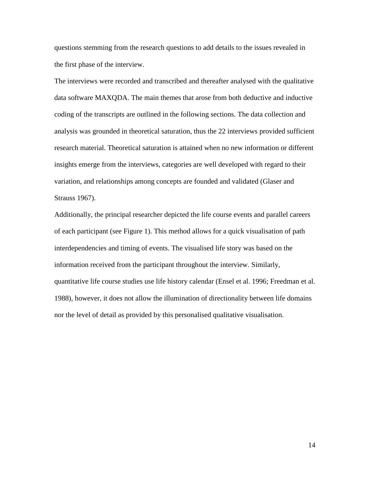questions stemming from the research questions to add details to the issues revealed in the first phase of the interview.

The interviews were recorded and transcribed and thereafter analysed with the qualitative data software MAXQDA. The main themes that arose from both deductive and inductive coding of the transcripts are outlined in the following sections. The data collection and analysis was grounded in theoretical saturation, thus the 22 interviews provided sufficient research material. Theoretical saturation is attained when no new information or different insights emerge from the interviews, categories are well developed with regard to their variation, and relationships among concepts are founded and validated (Glaser and Strauss 1967).

Additionally, the principal researcher depicted the life course events and parallel careers of each participant (see Figure 1). This method allows for a quick visualisation of path interdependencies and timing of events. The visualised life story was based on the information received from the participant throughout the interview. Similarly, quantitative life course studies use life history calendar (Ensel et al. 1996; Freedman et al. 1988), however, it does not allow the illumination of directionality between life domains nor the level of detail as provided by this personalised qualitative visualisation.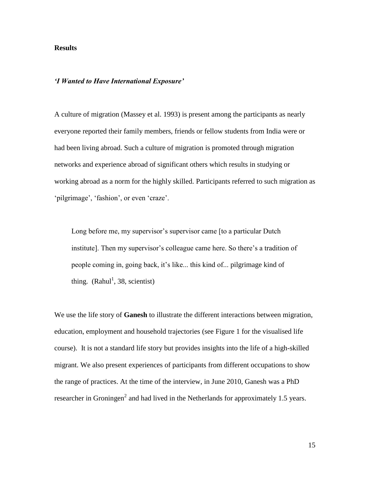## **Results**

## *'I Wanted to Have International Exposure'*

A culture of migration (Massey et al. 1993) is present among the participants as nearly everyone reported their family members, friends or fellow students from India were or had been living abroad. Such a culture of migration is promoted through migration networks and experience abroad of significant others which results in studying or working abroad as a norm for the highly skilled. Participants referred to such migration as 'pilgrimage', 'fashion', or even 'craze'.

Long before me, my supervisor's supervisor came [to a particular Dutch institute]. Then my supervisor's colleague came here. So there's a tradition of people coming in, going back, it's like... this kind of... pilgrimage kind of thing.  $(Rahul<sup>1</sup>, 38, scientist)$ 

We use the life story of **Ganesh** to illustrate the different interactions between migration, education, employment and household trajectories (see Figure 1 for the visualised life course). It is not a standard life story but provides insights into the life of a high-skilled migrant. We also present experiences of participants from different occupations to show the range of practices. At the time of the interview, in June 2010, Ganesh was a PhD researcher in Groningen<sup>2</sup> and had lived in the Netherlands for approximately 1.5 years.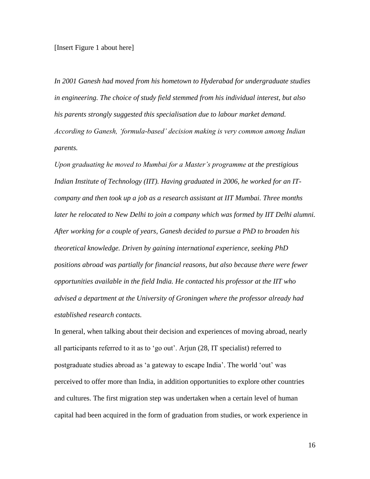#### [Insert Figure 1 about here]

*In 2001 Ganesh had moved from his hometown to Hyderabad for undergraduate studies in engineering. The choice of study field stemmed from his individual interest, but also his parents strongly suggested this specialisation due to labour market demand. According to Ganesh, 'formula-based' decision making is very common among Indian parents.*

*Upon graduating he moved to Mumbai for a Master's programme at the prestigious Indian Institute of Technology (IIT). Having graduated in 2006, he worked for an ITcompany and then took up a job as a research assistant at IIT Mumbai. Three months*  later he relocated to New Delhi to join a company which was formed by IIT Delhi alumni. *After working for a couple of years, Ganesh decided to pursue a PhD to broaden his theoretical knowledge. Driven by gaining international experience, seeking PhD positions abroad was partially for financial reasons, but also because there were fewer opportunities available in the field India. He contacted his professor at the IIT who advised a department at the University of Groningen where the professor already had established research contacts.* 

In general, when talking about their decision and experiences of moving abroad, nearly all participants referred to it as to 'go out'. Arjun (28, IT specialist) referred to postgraduate studies abroad as 'a gateway to escape India'. The world 'out' was perceived to offer more than India, in addition opportunities to explore other countries and cultures. The first migration step was undertaken when a certain level of human capital had been acquired in the form of graduation from studies, or work experience in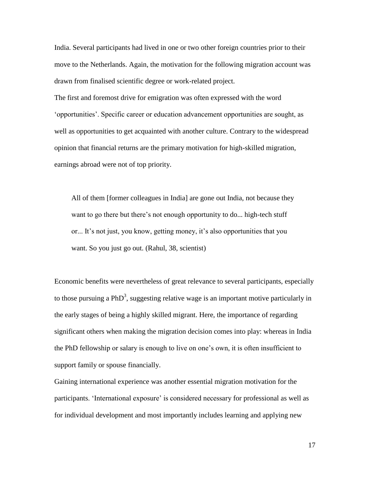India. Several participants had lived in one or two other foreign countries prior to their move to the Netherlands. Again, the motivation for the following migration account was drawn from finalised scientific degree or work-related project.

The first and foremost drive for emigration was often expressed with the word 'opportunities'. Specific career or education advancement opportunities are sought, as well as opportunities to get acquainted with another culture. Contrary to the widespread opinion that financial returns are the primary motivation for high-skilled migration, earnings abroad were not of top priority.

All of them [former colleagues in India] are gone out India, not because they want to go there but there's not enough opportunity to do... high-tech stuff or... It's not just, you know, getting money, it's also opportunities that you want. So you just go out. (Rahul, 38, scientist)

Economic benefits were nevertheless of great relevance to several participants, especially to those pursuing a PhD<sup>3</sup>, suggesting relative wage is an important motive particularly in the early stages of being a highly skilled migrant. Here, the importance of regarding significant others when making the migration decision comes into play: whereas in India the PhD fellowship or salary is enough to live on one's own, it is often insufficient to support family or spouse financially.

Gaining international experience was another essential migration motivation for the participants. 'International exposure' is considered necessary for professional as well as for individual development and most importantly includes learning and applying new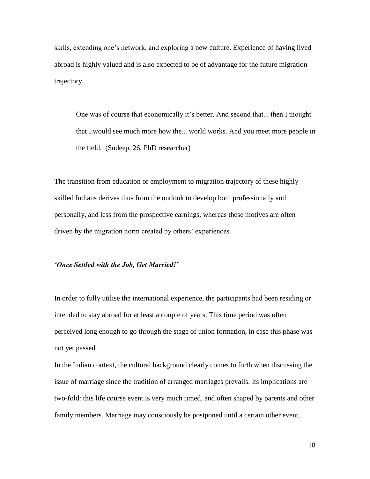skills, extending one's network, and exploring a new culture. Experience of having lived abroad is highly valued and is also expected to be of advantage for the future migration trajectory.

One was of course that economically it's better. And second that... then I thought that I would see much more how the... world works. And you meet more people in the field. (Sudeep, 26, PhD researcher)

The transition from education or employment to migration trajectory of these highly skilled Indians derives thus from the outlook to develop both professionally and personally, and less from the prospective earnings, whereas these motives are often driven by the migration norm created by others' experiences.

#### *'Once Settled with the Job, Get Married!'*

In order to fully utilise the international experience, the participants had been residing or intended to stay abroad for at least a couple of years. This time period was often perceived long enough to go through the stage of union formation, in case this phase was not yet passed.

In the Indian context, the cultural background clearly comes to forth when discussing the issue of marriage since the tradition of arranged marriages prevails. Its implications are two-fold: this life course event is very much timed, and often shaped by parents and other family members. Marriage may consciously be postponed until a certain other event,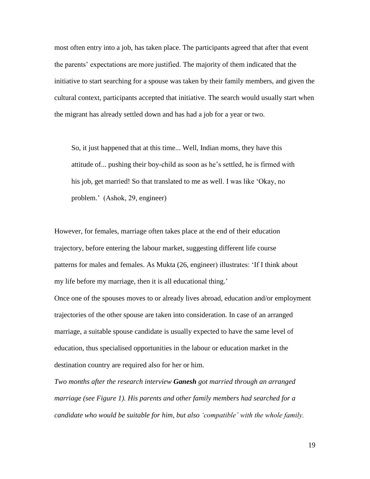most often entry into a job, has taken place. The participants agreed that after that event the parents' expectations are more justified. The majority of them indicated that the initiative to start searching for a spouse was taken by their family members, and given the cultural context, participants accepted that initiative. The search would usually start when the migrant has already settled down and has had a job for a year or two.

So, it just happened that at this time... Well, Indian moms, they have this attitude of... pushing their boy-child as soon as he's settled, he is firmed with his job, get married! So that translated to me as well. I was like 'Okay, no problem.' (Ashok, 29, engineer)

However, for females, marriage often takes place at the end of their education trajectory, before entering the labour market, suggesting different life course patterns for males and females. As Mukta (26, engineer) illustrates: 'If I think about my life before my marriage, then it is all educational thing.'

Once one of the spouses moves to or already lives abroad, education and/or employment trajectories of the other spouse are taken into consideration. In case of an arranged marriage, a suitable spouse candidate is usually expected to have the same level of education, thus specialised opportunities in the labour or education market in the destination country are required also for her or him.

*Two months after the research interview Ganesh got married through an arranged marriage (see Figure 1). His parents and other family members had searched for a candidate who would be suitable for him, but also 'compatible' with the whole family.*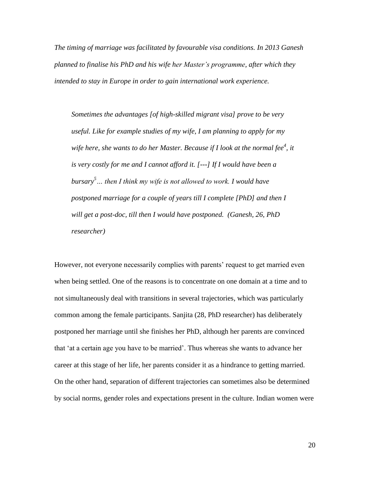*The timing of marriage was facilitated by favourable visa conditions. In 2013 Ganesh planned to finalise his PhD and his wife her Master's programme, after which they intended to stay in Europe in order to gain international work experience.* 

*Sometimes the advantages [of high-skilled migrant visa] prove to be very useful. Like for example studies of my wife, I am planning to apply for my wife here, she wants to do her Master. Because if I look at the normal fee<sup>4</sup> , it is very costly for me and I cannot afford it. [---] If I would have been a bursary<sup>5</sup>… then I think my wife is not allowed to work. I would have postponed marriage for a couple of years till I complete [PhD] and then I will get a post-doc, till then I would have postponed. (Ganesh, 26, PhD researcher)*

However, not everyone necessarily complies with parents' request to get married even when being settled. One of the reasons is to concentrate on one domain at a time and to not simultaneously deal with transitions in several trajectories, which was particularly common among the female participants. Sanjita (28, PhD researcher) has deliberately postponed her marriage until she finishes her PhD, although her parents are convinced that 'at a certain age you have to be married'. Thus whereas she wants to advance her career at this stage of her life, her parents consider it as a hindrance to getting married. On the other hand, separation of different trajectories can sometimes also be determined by social norms, gender roles and expectations present in the culture. Indian women were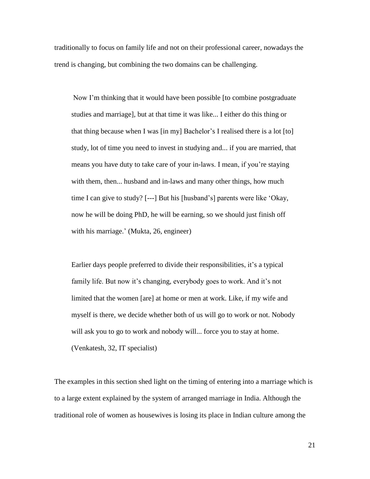traditionally to focus on family life and not on their professional career, nowadays the trend is changing, but combining the two domains can be challenging.

Now I'm thinking that it would have been possible [to combine postgraduate studies and marriage], but at that time it was like... I either do this thing or that thing because when I was [in my] Bachelor's I realised there is a lot [to] study, lot of time you need to invest in studying and... if you are married, that means you have duty to take care of your in-laws. I mean, if you're staying with them, then... husband and in-laws and many other things, how much time I can give to study? [---] But his [husband's] parents were like 'Okay, now he will be doing PhD, he will be earning, so we should just finish off with his marriage.' (Mukta, 26, engineer)

Earlier days people preferred to divide their responsibilities, it's a typical family life. But now it's changing, everybody goes to work. And it's not limited that the women [are] at home or men at work. Like, if my wife and myself is there, we decide whether both of us will go to work or not. Nobody will ask you to go to work and nobody will... force you to stay at home. (Venkatesh, 32, IT specialist)

The examples in this section shed light on the timing of entering into a marriage which is to a large extent explained by the system of arranged marriage in India. Although the traditional role of women as housewives is losing its place in Indian culture among the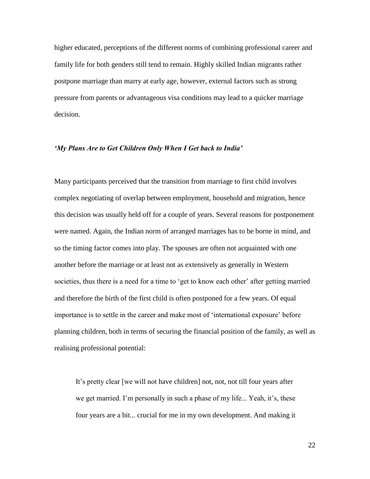higher educated, perceptions of the different norms of combining professional career and family life for both genders still tend to remain. Highly skilled Indian migrants rather postpone marriage than marry at early age, however, external factors such as strong pressure from parents or advantageous visa conditions may lead to a quicker marriage decision.

### *'My Plans Are to Get Children Only When I Get back to India'*

Many participants perceived that the transition from marriage to first child involves complex negotiating of overlap between employment, household and migration, hence this decision was usually held off for a couple of years. Several reasons for postponement were named. Again, the Indian norm of arranged marriages has to be borne in mind, and so the timing factor comes into play. The spouses are often not acquainted with one another before the marriage or at least not as extensively as generally in Western societies, thus there is a need for a time to 'get to know each other' after getting married and therefore the birth of the first child is often postponed for a few years. Of equal importance is to settle in the career and make most of 'international exposure' before planning children, both in terms of securing the financial position of the family, as well as realising professional potential:

It's pretty clear [we will not have children] not, not, not till four years after we get married. I'm personally in such a phase of my life... Yeah, it's, these four years are a bit... crucial for me in my own development. And making it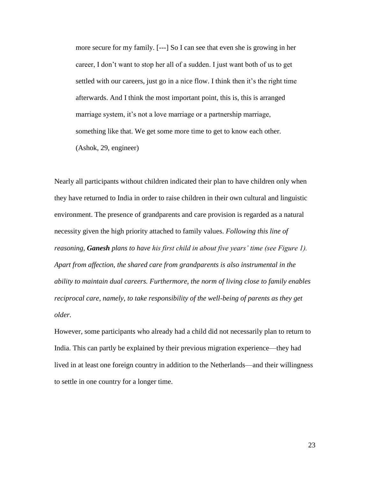more secure for my family. [---] So I can see that even she is growing in her career, I don't want to stop her all of a sudden. I just want both of us to get settled with our careers, just go in a nice flow. I think then it's the right time afterwards. And I think the most important point, this is, this is arranged marriage system, it's not a love marriage or a partnership marriage, something like that. We get some more time to get to know each other. (Ashok, 29, engineer)

Nearly all participants without children indicated their plan to have children only when they have returned to India in order to raise children in their own cultural and linguistic environment. The presence of grandparents and care provision is regarded as a natural necessity given the high priority attached to family values. *Following this line of reasoning, Ganesh plans to have his first child in about five years' time (see Figure 1). Apart from affection, the shared care from grandparents is also instrumental in the ability to maintain dual careers. Furthermore, the norm of living close to family enables reciprocal care, namely, to take responsibility of the well-being of parents as they get older.*

However, some participants who already had a child did not necessarily plan to return to India. This can partly be explained by their previous migration experience—they had lived in at least one foreign country in addition to the Netherlands—and their willingness to settle in one country for a longer time.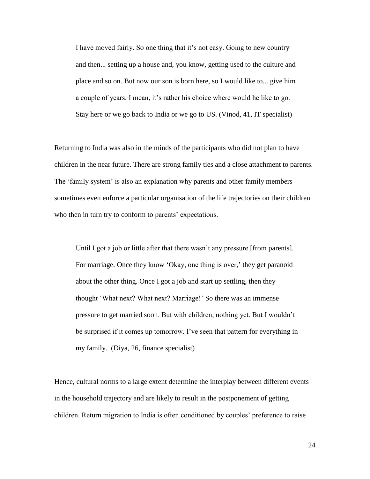I have moved fairly. So one thing that it's not easy. Going to new country and then... setting up a house and, you know, getting used to the culture and place and so on. But now our son is born here, so I would like to... give him a couple of years. I mean, it's rather his choice where would he like to go. Stay here or we go back to India or we go to US. (Vinod, 41, IT specialist)

Returning to India was also in the minds of the participants who did not plan to have children in the near future. There are strong family ties and a close attachment to parents. The 'family system' is also an explanation why parents and other family members sometimes even enforce a particular organisation of the life trajectories on their children who then in turn try to conform to parents' expectations.

Until I got a job or little after that there wasn't any pressure [from parents]. For marriage. Once they know 'Okay, one thing is over,' they get paranoid about the other thing. Once I got a job and start up settling, then they thought 'What next? What next? Marriage!' So there was an immense pressure to get married soon. But with children, nothing yet. But I wouldn't be surprised if it comes up tomorrow. I've seen that pattern for everything in my family. (Diya, 26, finance specialist)

Hence, cultural norms to a large extent determine the interplay between different events in the household trajectory and are likely to result in the postponement of getting children. Return migration to India is often conditioned by couples' preference to raise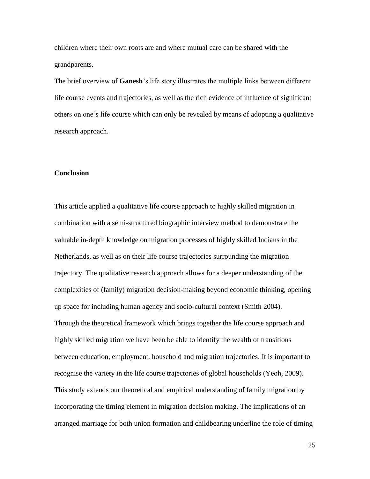children where their own roots are and where mutual care can be shared with the grandparents.

The brief overview of **Ganesh**'s life story illustrates the multiple links between different life course events and trajectories, as well as the rich evidence of influence of significant others on one's life course which can only be revealed by means of adopting a qualitative research approach.

## **Conclusion**

This article applied a qualitative life course approach to highly skilled migration in combination with a semi-structured biographic interview method to demonstrate the valuable in-depth knowledge on migration processes of highly skilled Indians in the Netherlands, as well as on their life course trajectories surrounding the migration trajectory. The qualitative research approach allows for a deeper understanding of the complexities of (family) migration decision-making beyond economic thinking, opening up space for including human agency and socio-cultural context (Smith 2004). Through the theoretical framework which brings together the life course approach and highly skilled migration we have been be able to identify the wealth of transitions between education, employment, household and migration trajectories. It is important to recognise the variety in the life course trajectories of global households (Yeoh, 2009). This study extends our theoretical and empirical understanding of family migration by incorporating the timing element in migration decision making. The implications of an arranged marriage for both union formation and childbearing underline the role of timing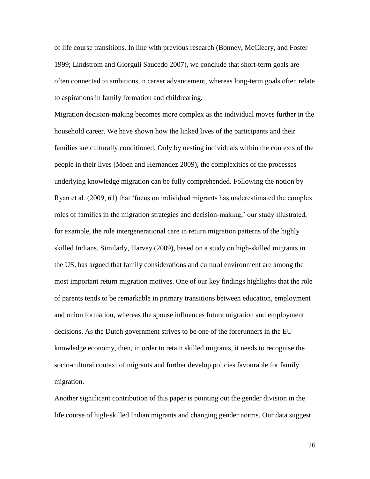of life course transitions. In line with previous research (Bonney, McCleery, and Foster 1999; Lindstrom and Giorguli Saucedo 2007), we conclude that short-term goals are often connected to ambitions in career advancement, whereas long-term goals often relate to aspirations in family formation and childrearing.

Migration decision-making becomes more complex as the individual moves further in the household career. We have shown how the linked lives of the participants and their families are culturally conditioned. Only by nesting individuals within the contexts of the people in their lives (Moen and Hernandez 2009), the complexities of the processes underlying knowledge migration can be fully comprehended. Following the notion by Ryan et al. (2009, 61) that 'focus on individual migrants has underestimated the complex roles of families in the migration strategies and decision-making,' our study illustrated, for example, the role intergenerational care in return migration patterns of the highly skilled Indians. Similarly, Harvey (2009), based on a study on high-skilled migrants in the US, has argued that family considerations and cultural environment are among the most important return migration motives. One of our key findings highlights that the role of parents tends to be remarkable in primary transitions between education, employment and union formation, whereas the spouse influences future migration and employment decisions. As the Dutch government strives to be one of the forerunners in the EU knowledge economy, then, in order to retain skilled migrants, it needs to recognise the socio-cultural context of migrants and further develop policies favourable for family migration.

Another significant contribution of this paper is pointing out the gender division in the life course of high-skilled Indian migrants and changing gender norms. Our data suggest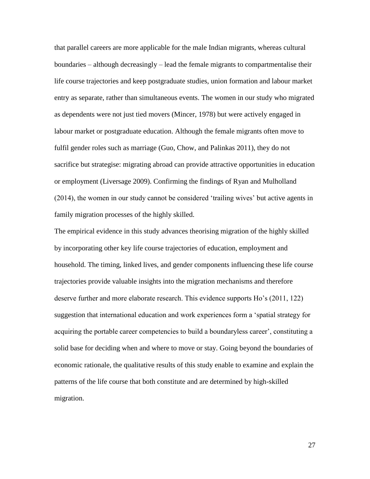that parallel careers are more applicable for the male Indian migrants, whereas cultural boundaries – although decreasingly – lead the female migrants to compartmentalise their life course trajectories and keep postgraduate studies, union formation and labour market entry as separate, rather than simultaneous events. The women in our study who migrated as dependents were not just tied movers (Mincer, 1978) but were actively engaged in labour market or postgraduate education. Although the female migrants often move to fulfil gender roles such as marriage (Guo, Chow, and Palinkas 2011), they do not sacrifice but strategise: migrating abroad can provide attractive opportunities in education or employment (Liversage 2009). Confirming the findings of Ryan and Mulholland (2014), the women in our study cannot be considered 'trailing wives' but active agents in family migration processes of the highly skilled.

The empirical evidence in this study advances theorising migration of the highly skilled by incorporating other key life course trajectories of education, employment and household. The timing, linked lives, and gender components influencing these life course trajectories provide valuable insights into the migration mechanisms and therefore deserve further and more elaborate research. This evidence supports Ho's (2011, 122) suggestion that international education and work experiences form a 'spatial strategy for acquiring the portable career competencies to build a boundaryless career', constituting a solid base for deciding when and where to move or stay. Going beyond the boundaries of economic rationale, the qualitative results of this study enable to examine and explain the patterns of the life course that both constitute and are determined by high-skilled migration.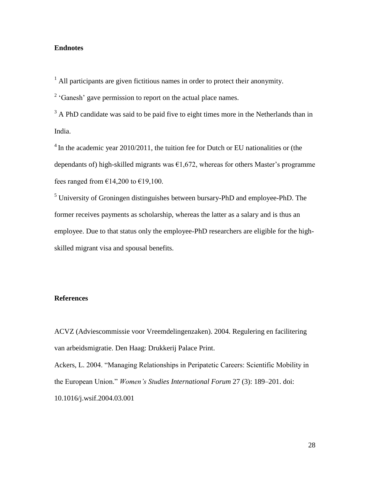# **Endnotes**

 $<sup>1</sup>$  All participants are given fictitious names in order to protect their anonymity.</sup>

 $2$  'Ganesh' gave permission to report on the actual place names.

<sup>3</sup> A PhD candidate was said to be paid five to eight times more in the Netherlands than in India.

 $4$  In the academic year 2010/2011, the tuition fee for Dutch or EU nationalities or (the dependants of) high-skilled migrants was  $\epsilon$ 1,672, whereas for others Master's programme fees ranged from  $\epsilon$ 14,200 to  $\epsilon$ 19,100.

<sup>5</sup> University of Groningen distinguishes between bursary-PhD and employee-PhD. The former receives payments as scholarship, whereas the latter as a salary and is thus an employee. Due to that status only the employee-PhD researchers are eligible for the highskilled migrant visa and spousal benefits.

## **References**

ACVZ (Adviescommissie voor Vreemdelingenzaken). 2004. Regulering en facilitering van arbeidsmigratie. Den Haag: Drukkerij Palace Print.

Ackers, L. 2004. "Managing Relationships in Peripatetic Careers: Scientific Mobility in the European Union." *Women's Studies International Forum* 27 (3): 189–201. doi: 10.1016/j.wsif.2004.03.001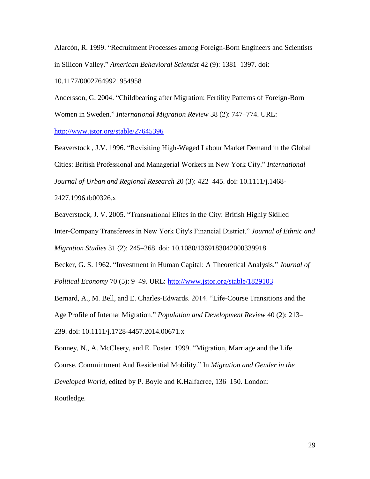Alarcón, R. 1999. "Recruitment Processes among Foreign-Born Engineers and Scientists in Silicon Valley." *American Behavioral Scientist* 42 (9): 1381–1397. doi:

10.1177/00027649921954958

Andersson, G. 2004. "Childbearing after Migration: Fertility Patterns of Foreign-Born Women in Sweden." *International Migration Review* 38 (2): 747–774. URL:

<http://www.jstor.org/stable/27645396>

Beaverstock , J.V. 1996. "Revisiting High-Waged Labour Market Demand in the Global Cities: British Professional and Managerial Workers in New York City." *International Journal of Urban and Regional Research* 20 (3): 422–445. doi: 10.1111/j.1468-

2427.1996.tb00326.x

Beaverstock, J. V. 2005. "Transnational Elites in the City: British Highly Skilled

Inter-Company Transferees in New York City's Financial District." *Journal of Ethnic and*

*Migration Studies* 31 (2): 245–268. doi: 10.1080/1369183042000339918

Becker, G. S. 1962. "Investment in Human Capital: A Theoretical Analysis." *Journal of Political Economy* 70 (5): 9–49. URL: <http://www.jstor.org/stable/1829103>

Bernard, A., M. Bell, and E. Charles-Edwards. 2014. "Life-Course Transitions and the Age Profile of Internal Migration." *Population and Development Review* 40 (2): 213– 239. doi: 10.1111/j.1728-4457.2014.00671.x

Bonney, N., A. McCleery, and E. Foster. 1999. "Migration, Marriage and the Life Course. Commintment And Residential Mobility." In *Migration and Gender in the Developed World*, edited by P. Boyle and K.Halfacree, 136–150. London: Routledge.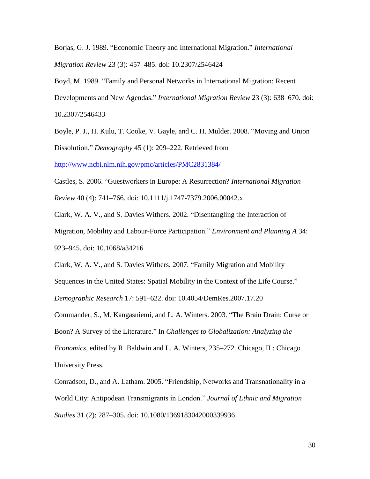Borjas, G. J. 1989. "Economic Theory and International Migration." *International Migration Review* 23 (3): 457–485. doi: 10.2307/2546424

Boyd, M. 1989. "Family and Personal Networks in International Migration: Recent Developments and New Agendas." *International Migration Review* 23 (3): 638–670. doi: 10.2307/2546433

Boyle, P. J., H. Kulu, T. Cooke, V. Gayle, and C. H. Mulder. 2008. "Moving and Union Dissolution." *Demography* 45 (1): 209–222. Retrieved from

<http://www.ncbi.nlm.nih.gov/pmc/articles/PMC2831384/>

Castles, S. 2006. "Guestworkers in Europe: A Resurrection? *International Migration Review* 40 (4): 741–766. doi: 10.1111/j.1747-7379.2006.00042.x

Clark, W. A. V., and S. Davies Withers. 2002. "Disentangling the Interaction of Migration, Mobility and Labour-Force Participation." *Environment and Planning A* 34: 923–945. doi: 10.1068/a34216

Clark, W. A. V., and S. Davies Withers. 2007. "Family Migration and Mobility Sequences in the United States: Spatial Mobility in the Context of the Life Course." *Demographic Research* 17: 591–622. doi: 10.4054/DemRes.2007.17.20

Commander, S., M. Kangasniemi, and L. A. Winters. 2003. "The Brain Drain: Curse or Boon? A Survey of the Literature." In *Challenges to Globalization: Analyzing the Economics*, edited by R. Baldwin and L. A. Winters, 235–272. Chicago, IL: Chicago University Press.

Conradson, D., and A. Latham. 2005. "Friendship, Networks and Transnationality in a World City: Antipodean Transmigrants in London." *Journal of Ethnic and Migration Studies* 31 (2): 287–305. doi: 10.1080/1369183042000339936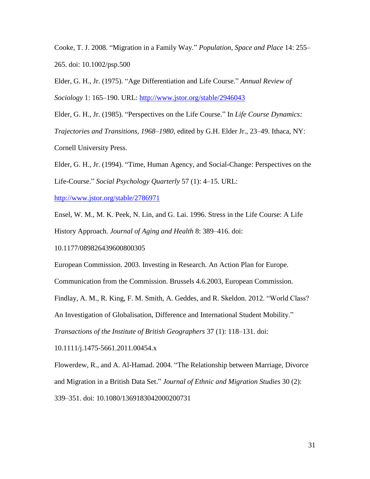Cooke, T. J. 2008. "Migration in a Family Way." *Population, Space and Place* 14: 255– 265. doi: 10.1002/psp.500

Elder, G. H., Jr. (1975). "Age Differentiation and Life Course." *Annual Review of Sociology* 1: 165–190. URL: <http://www.jstor.org/stable/2946043>

Elder, G. H., Jr. (1985). "Perspectives on the Life Course." In *Life Course Dynamics:* 

*Trajectories and Transitions, 1968*–*1980*, edited by G.H. Elder Jr., 23–49*.* Ithaca, NY:

Cornell University Press.

Elder, G. H., Jr. (1994). "Time, Human Agency, and Social-Change: Perspectives on the Life-Course." *Social Psychology Quarterly* 57 (1): 4–15. URL:

<http://www.jstor.org/stable/2786971>

Ensel, W. M., M. K. Peek, N. Lin, and G. Lai. 1996. Stress in the Life Course: A Life History Approach. *Journal of Aging and Health* 8: 389–416. doi:

10.1177/089826439600800305

European Commission. 2003. Investing in Research. An Action Plan for Europe.

Communication from the Commission. Brussels 4.6.2003, European Commission.

Findlay, A. M., R. King, F. M. Smith, A. Geddes, and R. Skeldon. 2012. "World Class?

An Investigation of Globalisation, Difference and International Student Mobility."

*Transactions of the Institute of British Geographers* 37 (1): 118–131. doi:

10.1111/j.1475-5661.2011.00454.x

Flowerdew, R., and A. Al-Hamad. 2004. "The Relationship between Marriage, Divorce and Migration in a British Data Set." *Journal of Ethnic and Migration Studies* 30 (2): 339–351. doi: 10.1080/1369183042000200731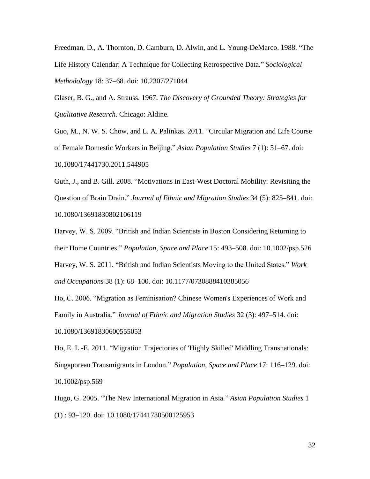Freedman, D., A. Thornton, D. Camburn, D. Alwin, and L. Young-DeMarco. 1988. "The Life History Calendar: A Technique for Collecting Retrospective Data." *Sociological Methodology* 18: 37–68. doi: 10.2307/271044

Glaser, B. G., and A. Strauss. 1967. *The Discovery of Grounded Theory: Strategies for Qualitative Research*. Chicago: Aldine.

Guo, M., N. W. S. Chow, and L. A. Palinkas. 2011. "Circular Migration and Life Course of Female Domestic Workers in Beijing." *Asian Population Studies* 7 (1): 51–67. doi: 10.1080/17441730.2011.544905

Guth, J., and B. Gill. 2008. "Motivations in East-West Doctoral Mobility: Revisiting the Question of Brain Drain." *Journal of Ethnic and Migration Studies* 34 (5): 825–841. doi: 10.1080/13691830802106119

Harvey, W. S. 2009. "British and Indian Scientists in Boston Considering Returning to their Home Countries." *Population, Space and Place* 15: 493–508. doi: 10.1002/psp.526 Harvey, W. S. 2011. "British and Indian Scientists Moving to the United States." *Work and Occupations* 38 (1): 68–100. doi: 10.1177/0730888410385056

Ho, C. 2006. "Migration as Feminisation? Chinese Women's Experiences of Work and Family in Australia." *Journal of Ethnic and Migration Studies* 32 (3): 497–514. doi:

10.1080/13691830600555053

Ho, E. L.-E. 2011. "Migration Trajectories of 'Highly Skilled' Middling Transnationals: Singaporean Transmigrants in London." *Population, Space and Place* 17: 116–129. doi: 10.1002/psp.569

Hugo, G. 2005. "The New International Migration in Asia." *Asian Population Studies* 1 (1) : 93–120. doi: 10.1080/17441730500125953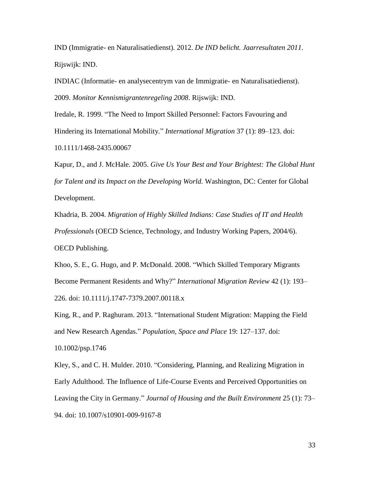IND (Immigratie- en Naturalisatiedienst). 2012. *De IND belicht. Jaarresultaten 2011*. Rijswijk: IND.

INDIAC (Informatie- en analysecentrym van de Immigratie- en Naturalisatiedienst). 2009. *Monitor Kennismigrantenregeling 2008*. Rijswijk: IND.

Iredale, R. 1999. "The Need to Import Skilled Personnel: Factors Favouring and Hindering its International Mobility." *International Migration* 37 (1): 89–123. doi: 10.1111/1468-2435.00067

Kapur, D., and J. McHale. 2005. *Give Us Your Best and Your Brightest: The Global Hunt for Talent and its Impact on the Developing World.* Washington, DC: Center for Global Development.

Khadria, B. 2004. *Migration of Highly Skilled Indians: Case Studies of IT and Health Professionals* (OECD Science, Technology, and Industry Working Papers, 2004/6). OECD Publishing.

Khoo, S. E., G. Hugo, and P. McDonald. 2008. "Which Skilled Temporary Migrants Become Permanent Residents and Why?" *International Migration Review* 42 (1): 193– 226. doi: 10.1111/j.1747-7379.2007.00118.x

King, R., and P. Raghuram. 2013. "International Student Migration: Mapping the Field and New Research Agendas." *Population, Space and Place* 19: 127–137. doi:

10.1002/psp.1746

Kley, S., and C. H. Mulder. 2010. "Considering, Planning, and Realizing Migration in Early Adulthood. The Influence of Life-Course Events and Perceived Opportunities on Leaving the City in Germany." *Journal of Housing and the Built Environment* 25 (1): 73– 94. doi: 10.1007/s10901-009-9167-8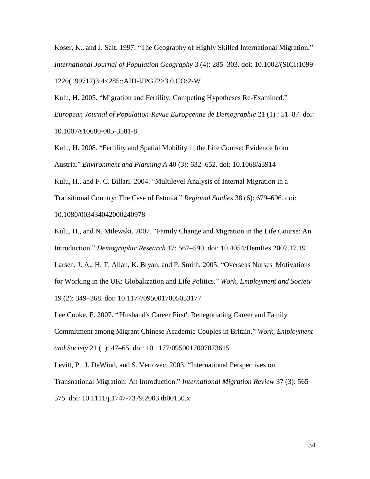Koser, K., and J. Salt. 1997. "The Geography of Highly Skilled International Migration." *International Journal of Population Geography* 3 (4): 285–303. doi: 10.1002/(SICI)1099- 1220(199712)3:4<285::AID-IJPG72>3.0.CO;2-W

Kulu, H. 2005. "Migration and Fertility: Competing Hypotheses Re-Examined." *European Journal of Population-Revue Europeenne de Demographie* 21 (1) : 51–87. doi: 10.1007/s10680-005-3581-8

Kulu, H. 2008. "Fertility and Spatial Mobility in the Life Course: Evidence from Austria." *Environment and Planning A* 40 (3): 632–652. doi: 10.1068/a3914

Kulu, H., and F. C. Billari. 2004. "Multilevel Analysis of Internal Migration in a Transitional Country: The Case of Estonia." *Regional Studies* 38 (6): 679–696. doi: 10.1080/003434042000240978

Kulu, H., and N. Milewski. 2007. "Family Change and Migration in the Life Course: An Introduction." *Demographic Research* 17: 567–590. doi: 10.4054/DemRes.2007.17.19 Larsen, J. A., H. T. Allan, K. Bryan, and P. Smith. 2005. "Overseas Nurses' Motivations for Working in the UK: Globalization and Life Politics." *Work, Employment and Society* 19 (2): 349–368. doi: 10.1177/0950017005053177

Lee Cooke, F. 2007. "'Husband's Career First': Renegotiating Career and Family Commitment among Migrant Chinese Academic Couples in Britain." *Work, Employment and Society* 21 (1): 47–65. doi: 10.1177/0950017007073615

Levitt, P., J. DeWind, and S. Vertovec. 2003. "International Perspectives on Transnational Migration: An Introduction." *International Migration Review* 37 (3): 565– 575. doi: 10.1111/j.1747-7379.2003.tb00150.x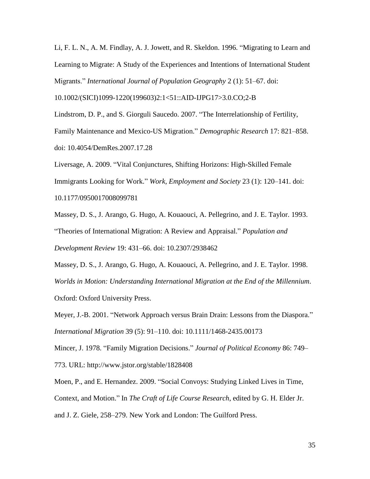Li, F. L. N., A. M. Findlay, A. J. Jowett, and R. Skeldon. 1996. "Migrating to Learn and Learning to Migrate: A Study of the Experiences and Intentions of International Student Migrants." *International Journal of Population Geography* 2 (1): 51–67. doi:

10.1002/(SICI)1099-1220(199603)2:1<51::AID-IJPG17>3.0.CO;2-B

Lindstrom, D. P., and S. Giorguli Saucedo. 2007. "The Interrelationship of Fertility, Family Maintenance and Mexico-US Migration." *Demographic Research* 17: 821–858. doi: 10.4054/DemRes.2007.17.28

Liversage, A. 2009. "Vital Conjunctures, Shifting Horizons: High-Skilled Female Immigrants Looking for Work." *Work, Employment and Society* 23 (1): 120–141. doi: 10.1177/0950017008099781

Massey, D. S., J. Arango, G. Hugo, A. Kouaouci, A. Pellegrino, and J. E. Taylor. 1993. "Theories of International Migration: A Review and Appraisal." *Population and Development Review* 19: 431–66. doi: 10.2307/2938462

Massey, D. S., J. Arango, G. Hugo, A. Kouaouci, A. Pellegrino, and J. E. Taylor. 1998. *Worlds in Motion: Understanding International Migration at the End of the Millennium*. Oxford: Oxford University Press.

Meyer, J.-B. 2001. "Network Approach versus Brain Drain: Lessons from the Diaspora." *International Migration* 39 (5): 91–110. doi: 10.1111/1468-2435.00173

Mincer, J. 1978. "Family Migration Decisions." *Journal of Political Economy* 86: 749–

773. URL: http://www.jstor.org/stable/1828408

Moen, P., and E. Hernandez. 2009. "Social Convoys: Studying Linked Lives in Time, Context, and Motion." In *The Craft of Life Course Research*, edited by G. H. Elder Jr. and J. Z. Giele, 258–279. New York and London: The Guilford Press.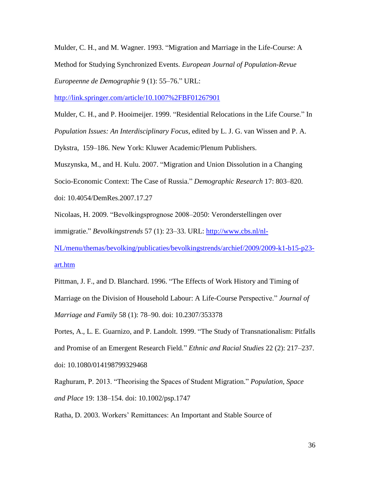Mulder, C. H., and M. Wagner. 1993. "Migration and Marriage in the Life-Course: A Method for Studying Synchronized Events. *European Journal of Population-Revue Europeenne de Demographie* 9 (1): 55–76." URL:

<http://link.springer.com/article/10.1007%2FBF01267901>

Mulder, C. H., and P. Hooimeijer. 1999. "Residential Relocations in the Life Course." In *Population Issues: An Interdisciplinary Focus*, edited by L. J. G. van Wissen and P. A.

Dykstra, 159–186. New York: Kluwer Academic/Plenum Publishers.

Muszynska, M., and H. Kulu. 2007. "Migration and Union Dissolution in a Changing Socio-Economic Context: The Case of Russia." *Demographic Research* 17: 803–820. doi: 10.4054/DemRes.2007.17.27

Nicolaas, H. 2009. "Bevolkingsprognose 2008–2050: Veronderstellingen over immigratie." *Bevolkingstrends* 57 (1): 23–33. URL: [http://www.cbs.nl/nl-](http://www.cbs.nl/nl-NL/menu/themas/bevolking/publicaties/bevolkingstrends/archief/2009/2009-k1-b15-p23-art.htm)

[NL/menu/themas/bevolking/publicaties/bevolkingstrends/archief/2009/2009-k1-b15-p23](http://www.cbs.nl/nl-NL/menu/themas/bevolking/publicaties/bevolkingstrends/archief/2009/2009-k1-b15-p23-art.htm) [art.htm](http://www.cbs.nl/nl-NL/menu/themas/bevolking/publicaties/bevolkingstrends/archief/2009/2009-k1-b15-p23-art.htm)

Pittman, J. F., and D. Blanchard. 1996. "The Effects of Work History and Timing of Marriage on the Division of Household Labour: A Life-Course Perspective." *Journal of Marriage and Family* 58 (1): 78–90. doi: 10.2307/353378

Portes, A., L. E. Guarnizo, and P. Landolt. 1999. "The Study of Transnationalism: Pitfalls and Promise of an Emergent Research Field." *Ethnic and Racial Studies* 22 (2): 217–237. doi: 10.1080/014198799329468

Raghuram, P. 2013. "Theorising the Spaces of Student Migration." *Population, Space and Place* 19: 138–154. doi: 10.1002/psp.1747

Ratha, D. 2003. Workers' Remittances: An Important and Stable Source of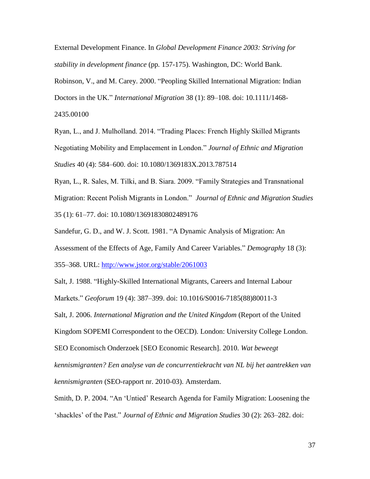External Development Finance. In *Global Development Finance 2003: Striving for stability in development finance* (pp*.* 157-175). Washington, DC: World Bank.

Robinson, V., and M. Carey. 2000. "Peopling Skilled International Migration: Indian Doctors in the UK." *International Migration* 38 (1): 89–108. doi: 10.1111/1468-

2435.00100

Ryan, L., and J. Mulholland. 2014. "Trading Places: French Highly Skilled Migrants Negotiating Mobility and Emplacement in London." *Journal of Ethnic and Migration Studies* 40 (4): 584–600. doi: 10.1080/1369183X.2013.787514

Ryan, L., R. Sales, M. Tilki, and B. Siara. 2009. "Family Strategies and Transnational Migration: Recent Polish Migrants in London." *Journal of Ethnic and Migration Studies* 35 (1): 61–77. doi: 10.1080/13691830802489176

Sandefur, G. D., and W. J. Scott. 1981. "A Dynamic Analysis of Migration: An

Assessment of the Effects of Age, Family And Career Variables." *Demography* 18 (3):

355–368. URL: <http://www.jstor.org/stable/2061003>

Salt, J. 1988. "Highly-Skilled International Migrants, Careers and Internal Labour

Markets." *Geoforum* 19 (4): 387–399. doi: 10.1016/S0016-7185(88)80011-3

Salt, J. 2006. *International Migration and the United Kingdom* (Report of the United

Kingdom SOPEMI Correspondent to the OECD). London: University College London.

SEO Economisch Onderzoek [SEO Economic Research]. 2010. *Wat beweegt* 

*kennismigranten? Een analyse van de concurrentiekracht van NL bij het aantrekken van kennismigranten* (SEO-rapport nr. 2010-03). Amsterdam.

Smith, D. P. 2004. "An 'Untied' Research Agenda for Family Migration: Loosening the 'shackles' of the Past." *Journal of Ethnic and Migration Studies* 30 (2): 263–282. doi: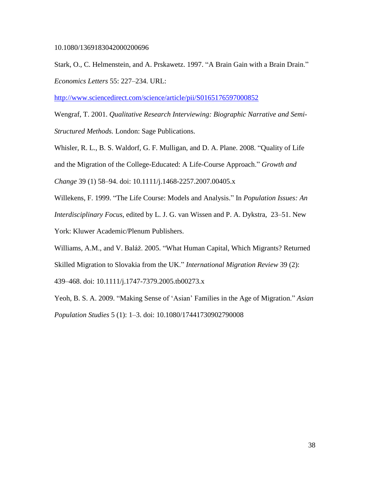#### 10.1080/1369183042000200696

Stark, O., C. Helmenstein, and A. Prskawetz. 1997. "A Brain Gain with a Brain Drain." *Economics Letters* 55: 227–234. URL:

<http://www.sciencedirect.com/science/article/pii/S0165176597000852>

Wengraf, T. 2001. *Qualitative Research Interviewing: Biographic Narrative and Semi-Structured Methods.* London: Sage Publications.

Whisler, R. L., B. S. Waldorf, G. F. Mulligan, and D. A. Plane. 2008. "Quality of Life and the Migration of the College-Educated: A Life-Course Approach." *Growth and Change* 39 (1) 58–94. doi: 10.1111/j.1468-2257.2007.00405.x

Willekens, F. 1999. "The Life Course: Models and Analysis." In *Population Issues: An Interdisciplinary Focus*, edited by L. J. G. van Wissen and P. A. Dykstra, 23–51. New York: Kluwer Academic/Plenum Publishers.

Williams, A.M., and V. Baláž. 2005. "What Human Capital, Which Migrants? Returned Skilled Migration to Slovakia from the UK." *International Migration Review* 39 (2): 439–468. doi: 10.1111/j.1747-7379.2005.tb00273.x

Yeoh, B. S. A. 2009. "Making Sense of 'Asian' Families in the Age of Migration." *Asian Population Studies* 5 (1): 1–3. doi: 10.1080/17441730902790008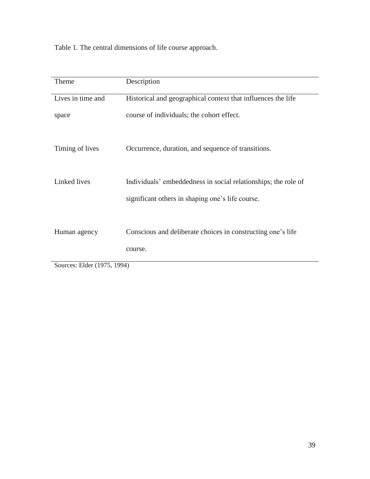Table 1. The central dimensions of life course approach.

| Theme             | Description                                                    |
|-------------------|----------------------------------------------------------------|
| Lives in time and | Historical and geographical context that influences the life   |
| space             | course of individuals; the cohort effect.                      |
| Timing of lives   | Occurrence, duration, and sequence of transitions.             |
| Linked lives      | Individuals' embeddedness in social relationships; the role of |
|                   | significant others in shaping one's life course.               |
| Human agency      | Conscious and deliberate choices in constructing one's life    |
|                   | course.                                                        |

Sources: Elder (1975, 1994)